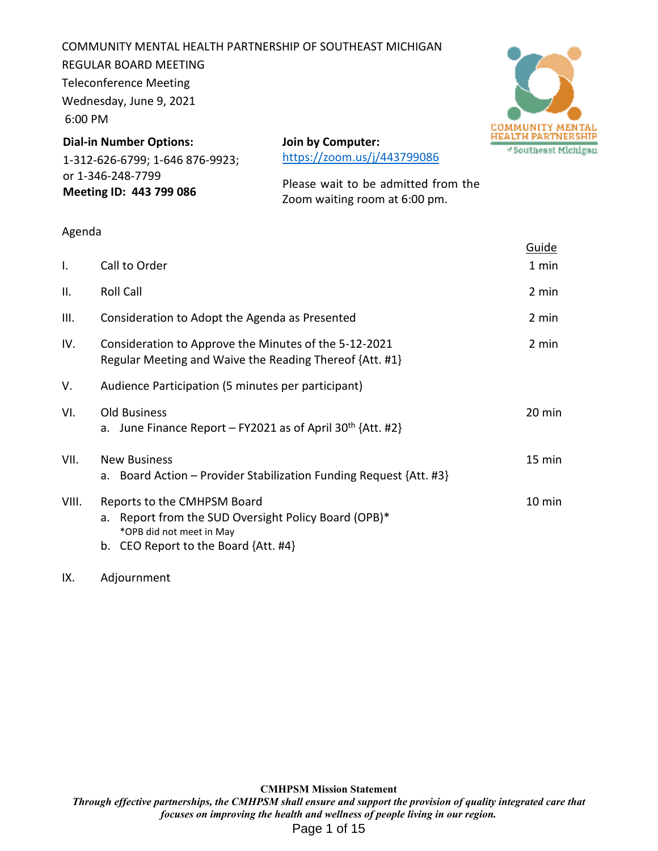COMMUNITY MENTAL HEALTH PARTNERSHIP OF SOUTHEAST MICHIGAN REGULAR BOARD MEETING Teleconference Meeting Wednesday, June 9, 2021 6:00 PM



**Dial-in Number Options:** 1-312-626-6799; 1-646 876-9923; or 1-346-248-7799 **Meeting ID: 443 799 086**

**Join by Computer:**  https://zoom.us/j/443799086

Please wait to be admitted from the Zoom waiting room at 6:00 pm.

#### Agenda

|                                                                                                                                                             | <u>Guide</u> |
|-------------------------------------------------------------------------------------------------------------------------------------------------------------|--------------|
| Call to Order                                                                                                                                               | 1 min        |
| Roll Call                                                                                                                                                   | 2 min        |
| Consideration to Adopt the Agenda as Presented                                                                                                              | 2 min        |
| Consideration to Approve the Minutes of the 5-12-2021<br>Regular Meeting and Waive the Reading Thereof {Att. #1}                                            | 2 min        |
| Audience Participation (5 minutes per participant)                                                                                                          |              |
| <b>Old Business</b><br>a. June Finance Report – FY2021 as of April 30 <sup>th</sup> {Att. #2}                                                               | 20 min       |
| <b>New Business</b><br>a. Board Action – Provider Stabilization Funding Request {Att. #3}                                                                   | 15 min       |
| Reports to the CMHPSM Board<br>a. Report from the SUD Oversight Policy Board (OPB)*<br>*OPB did not meet in May<br>b. CEO Report to the Board $\{Att. #4\}$ | 10 min       |
|                                                                                                                                                             |              |

#### IX. Adjournment

**CMHPSM Mission Statement**  *Through effective partnerships, the CMHPSM shall ensure and support the provision of quality integrated care that focuses on improving the health and wellness of people living in our region.*  Page 1 of 15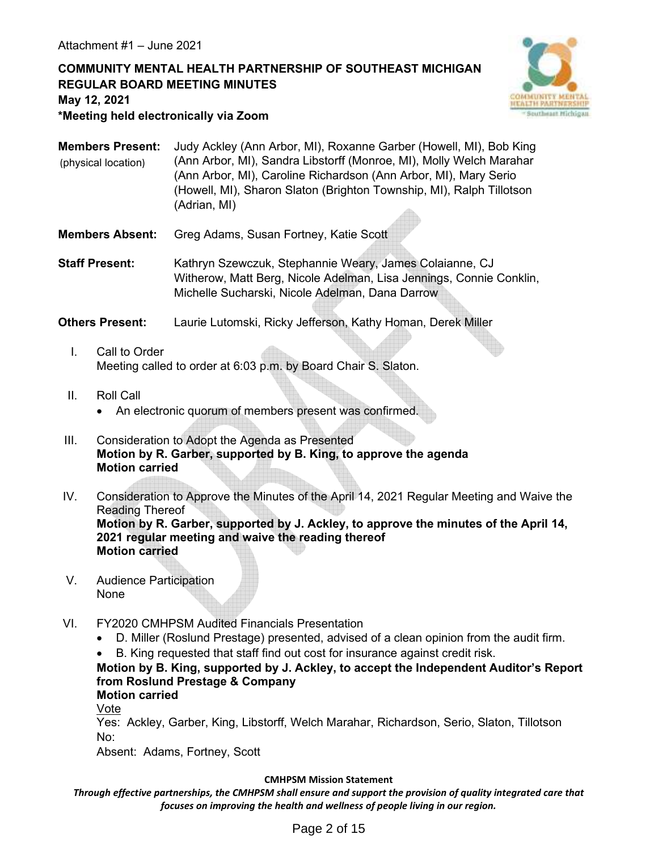# **COMMUNITY MENTAL HEALTH PARTNERSHIP OF SOUTHEAST MICHIGAN REGULAR BOARD MEETING MINUTES May 12, 2021 \*Meeting held electronically via Zoom**



**Members Present:** Judy Ackley (Ann Arbor, MI), Roxanne Garber (Howell, MI), Bob King (Ann Arbor, MI), Sandra Libstorff (Monroe, MI), Molly Welch Marahar (Ann Arbor, MI), Caroline Richardson (Ann Arbor, MI), Mary Serio (Howell, MI), Sharon Slaton (Brighton Township, MI), Ralph Tillotson (Adrian, MI) (physical location)

**Members Absent:** Greg Adams, Susan Fortney, Katie Scott

**Staff Present:** Kathryn Szewczuk, Stephannie Weary, James Colaianne, CJ Witherow, Matt Berg, Nicole Adelman, Lisa Jennings, Connie Conklin, Michelle Sucharski, Nicole Adelman, Dana Darrow

**Others Present:** Laurie Lutomski, Ricky Jefferson, Kathy Homan, Derek Miller

- I. Call to Order Meeting called to order at 6:03 p.m. by Board Chair S. Slaton.
- II. Roll Call
	- An electronic quorum of members present was confirmed.
- III. Consideration to Adopt the Agenda as Presented **Motion by R. Garber, supported by B. King, to approve the agenda Motion carried**
- IV. Consideration to Approve the Minutes of the April 14, 2021 Regular Meeting and Waive the Reading Thereof **Motion by R. Garber, supported by J. Ackley, to approve the minutes of the April 14, 2021 regular meeting and waive the reading thereof Motion carried**
- V. Audience Participation None
- VI. FY2020 CMHPSM Audited Financials Presentation
	- D. Miller (Roslund Prestage) presented, advised of a clean opinion from the audit firm.

B. King requested that staff find out cost for insurance against credit risk.

# **Motion by B. King, supported by J. Ackley, to accept the Independent Auditor's Report from Roslund Prestage & Company**

**Motion carried**

Vote

Yes: Ackley, Garber, King, Libstorff, Welch Marahar, Richardson, Serio, Slaton, Tillotson No:

Absent: Adams, Fortney, Scott

#### **CMHPSM Mission Statement**

*Through effective partnerships, the CMHPSM shall ensure and support the provision of quality integrated care that focuses on improving the health and wellness of people living in our region.*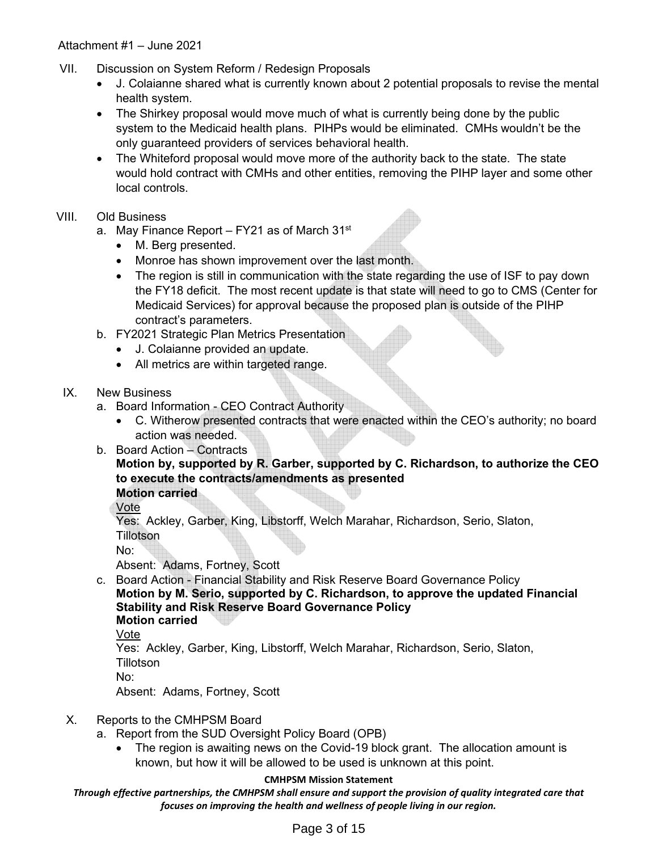- VII. Discussion on System Reform / Redesign Proposals
	- J. Colaianne shared what is currently known about 2 potential proposals to revise the mental health system.
	- The Shirkey proposal would move much of what is currently being done by the public system to the Medicaid health plans. PIHPs would be eliminated. CMHs wouldn't be the only guaranteed providers of services behavioral health.
	- The Whiteford proposal would move more of the authority back to the state. The state would hold contract with CMHs and other entities, removing the PIHP layer and some other local controls.
- VIII. Old Business
	- a. May Finance Report FY21 as of March 31<sup>st</sup>
		- M. Berg presented.
		- Monroe has shown improvement over the last month.
		- The region is still in communication with the state regarding the use of ISF to pay down the FY18 deficit. The most recent update is that state will need to go to CMS (Center for Medicaid Services) for approval because the proposed plan is outside of the PIHP contract's parameters.
	- b. FY2021 Strategic Plan Metrics Presentation
		- J. Colaianne provided an update.
		- All metrics are within targeted range.
	- IX. New Business
		- a. Board Information CEO Contract Authority
			- C. Witherow presented contracts that were enacted within the CEO's authority; no board action was needed.
		- b. Board Action Contracts

# **Motion by, supported by R. Garber, supported by C. Richardson, to authorize the CEO to execute the contracts/amendments as presented**

**Motion carried**

Vote

Yes: Ackley, Garber, King, Libstorff, Welch Marahar, Richardson, Serio, Slaton, Tillotson

No:

Absent: Adams, Fortney, Scott

c. Board Action - Financial Stability and Risk Reserve Board Governance Policy **Motion by M. Serio, supported by C. Richardson, to approve the updated Financial Stability and Risk Reserve Board Governance Policy Motion carried**

Vote

Yes: Ackley, Garber, King, Libstorff, Welch Marahar, Richardson, Serio, Slaton, Tillotson

No:

Absent: Adams, Fortney, Scott

# X. Reports to the CMHPSM Board

- a. Report from the SUD Oversight Policy Board (OPB)
	- The region is awaiting news on the Covid-19 block grant. The allocation amount is known, but how it will be allowed to be used is unknown at this point.

#### **CMHPSM Mission Statement**

*Through effective partnerships, the CMHPSM shall ensure and support the provision of quality integrated care that focuses on improving the health and wellness of people living in our region.*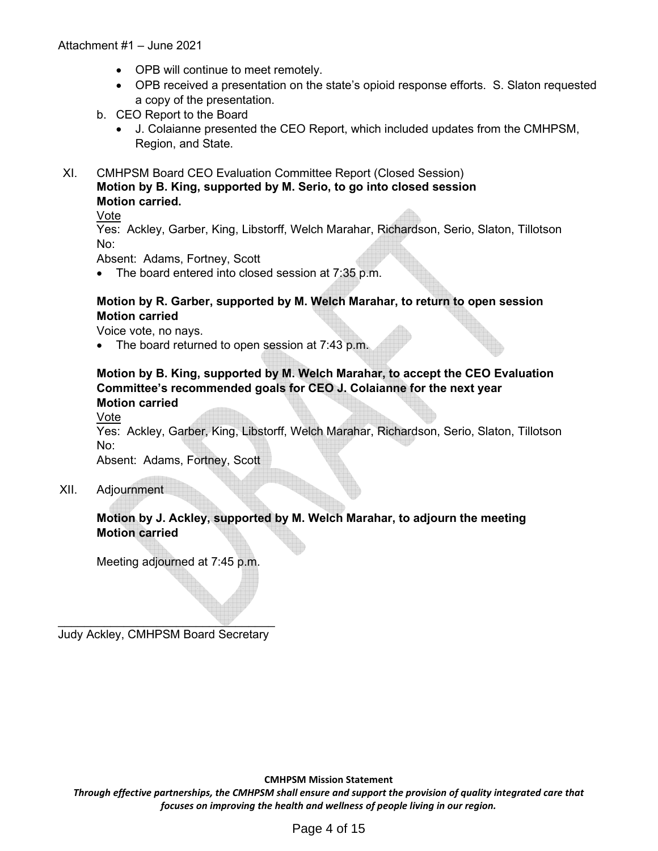- OPB will continue to meet remotely.
- OPB received a presentation on the state's opioid response efforts. S. Slaton requested a copy of the presentation.
- b. CEO Report to the Board
	- J. Colaianne presented the CEO Report, which included updates from the CMHPSM, Region, and State.

XI. CMHPSM Board CEO Evaluation Committee Report (Closed Session) **Motion by B. King, supported by M. Serio, to go into closed session Motion carried.** 

#### Vote

Yes: Ackley, Garber, King, Libstorff, Welch Marahar, Richardson, Serio, Slaton, Tillotson No:

Absent: Adams, Fortney, Scott

• The board entered into closed session at 7:35 p.m.

#### **Motion by R. Garber, supported by M. Welch Marahar, to return to open session Motion carried**

Voice vote, no nays.

• The board returned to open session at 7:43 p.m.

### **Motion by B. King, supported by M. Welch Marahar, to accept the CEO Evaluation Committee's recommended goals for CEO J. Colaianne for the next year Motion carried**

Vote

Yes: Ackley, Garber, King, Libstorff, Welch Marahar, Richardson, Serio, Slaton, Tillotson No:

Absent: Adams, Fortney, Scott

XII. Adjournment

#### **Motion by J. Ackley, supported by M. Welch Marahar, to adjourn the meeting Motion carried**

Meeting adjourned at 7:45 p.m.

 $\mathcal{L}=\mathcal{L}=\mathcal{L}=\mathcal{L}=\mathcal{L}=\mathcal{L}=\mathcal{L}=\mathcal{L}=\mathcal{L}=\mathcal{L}=\mathcal{L}=\mathcal{L}=\mathcal{L}=\mathcal{L}=\mathcal{L}=\mathcal{L}=\mathcal{L}=\mathcal{L}=\mathcal{L}=\mathcal{L}=\mathcal{L}=\mathcal{L}=\mathcal{L}=\mathcal{L}=\mathcal{L}=\mathcal{L}=\mathcal{L}=\mathcal{L}=\mathcal{L}=\mathcal{L}=\mathcal{L}=\mathcal{L}=\mathcal{L}=\mathcal{L}=\mathcal{L}=\mathcal{L}=\mathcal{$ Judy Ackley, CMHPSM Board Secretary

**CMHPSM Mission Statement** 

*Through effective partnerships, the CMHPSM shall ensure and support the provision of quality integrated care that focuses on improving the health and wellness of people living in our region.*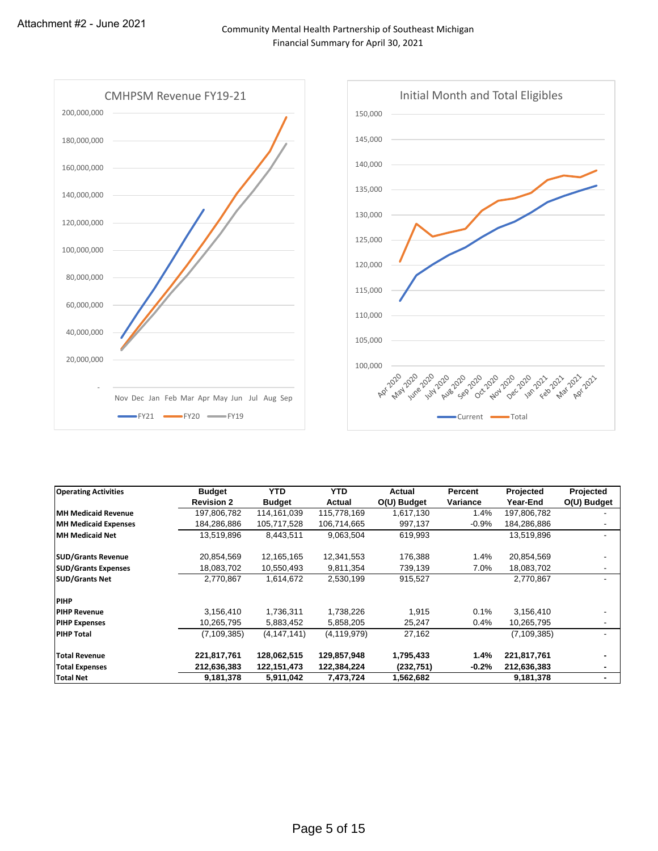

| <b>Operating Activities</b> | <b>Budget</b>     | <b>YTD</b>    | <b>YTD</b>    | Actual      | Percent  | Projected     | Projected      |
|-----------------------------|-------------------|---------------|---------------|-------------|----------|---------------|----------------|
|                             | <b>Revision 2</b> | <b>Budget</b> | Actual        | O(U) Budget | Variance | Year-End      | O(U) Budget    |
| <b>IMH Medicaid Revenue</b> | 197,806,782       | 114,161,039   | 115,778,169   | 1,617,130   | 1.4%     | 197,806,782   |                |
| <b>MH Medicaid Expenses</b> | 184,286,886       | 105,717,528   | 106,714,665   | 997,137     | $-0.9%$  | 184,286,886   |                |
| MH Medicaid Net             | 13,519,896        | 8,443,511     | 9,063,504     | 619,993     |          | 13,519,896    | ۰              |
| <b>SUD/Grants Revenue</b>   | 20,854,569        | 12,165,165    | 12,341,553    | 176,388     | 1.4%     | 20,854,569    |                |
| <b>SUD/Grants Expenses</b>  | 18,083,702        | 10,550,493    | 9,811,354     | 739,139     | 7.0%     | 18,083,702    |                |
| <b>SUD/Grants Net</b>       | 2,770,867         | 1,614,672     | 2,530,199     | 915,527     |          | 2,770,867     |                |
| <b>PIHP</b>                 |                   |               |               |             |          |               |                |
| <b>PIHP Revenue</b>         | 3,156,410         | 1,736,311     | 1,738,226     | 1,915       | 0.1%     | 3,156,410     |                |
| <b>PIHP Expenses</b>        | 10,265,795        | 5,883,452     | 5,858,205     | 25,247      | 0.4%     | 10,265,795    |                |
| <b>PIHP Total</b>           | (7, 109, 385)     | (4, 147, 141) | (4, 119, 979) | 27,162      |          | (7, 109, 385) | ۰              |
| <b>Total Revenue</b>        | 221,817,761       | 128,062,515   | 129,857,948   | 1,795,433   | 1.4%     | 221,817,761   | $\blacksquare$ |
| <b>Total Expenses</b>       | 212,636,383       | 122,151,473   | 122,384,224   | (232, 751)  | $-0.2%$  | 212,636,383   | ۰              |
| <b>Total Net</b>            | 9,181,378         | 5,911,042     | 7,473,724     | 1,562,682   |          | 9,181,378     | $\blacksquare$ |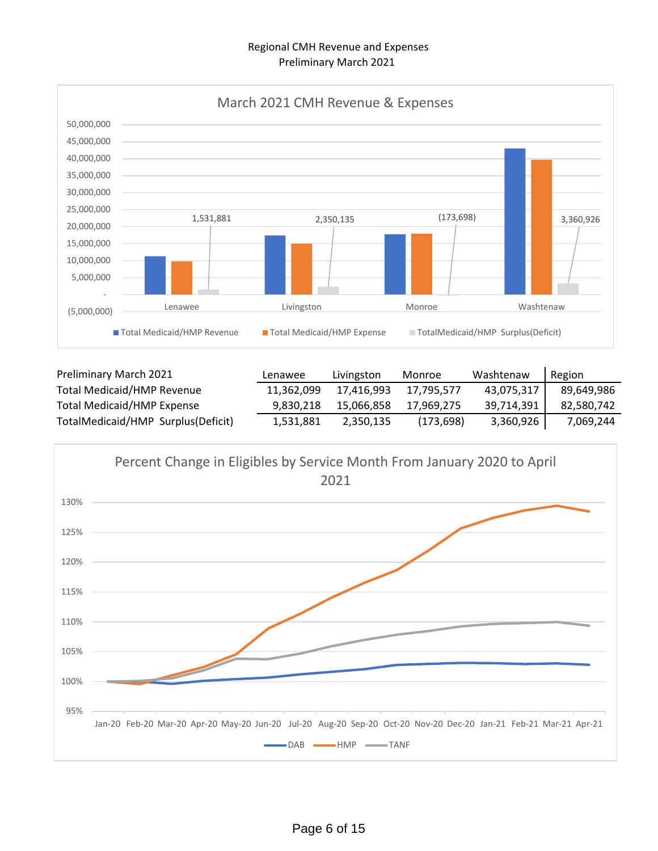#### Regional CMH Revenue and Expenses Preliminary March 2021



| Preliminary March 2021             | Lenawee    | Livingston | Monroe     | Washtenaw  | Region     |
|------------------------------------|------------|------------|------------|------------|------------|
| <b>Total Medicaid/HMP Revenue</b>  | 11.362.099 | 17.416.993 | 17.795.577 | 43,075,317 | 89,649,986 |
| <b>Total Medicaid/HMP Expense</b>  | 9,830,218  | 15,066,858 | 17,969,275 | 39,714,391 | 82,580,742 |
| TotalMedicaid/HMP Surplus(Deficit) | 1,531,881  | 2,350,135  | (173, 698) | 3,360,926  | 7,069,244  |

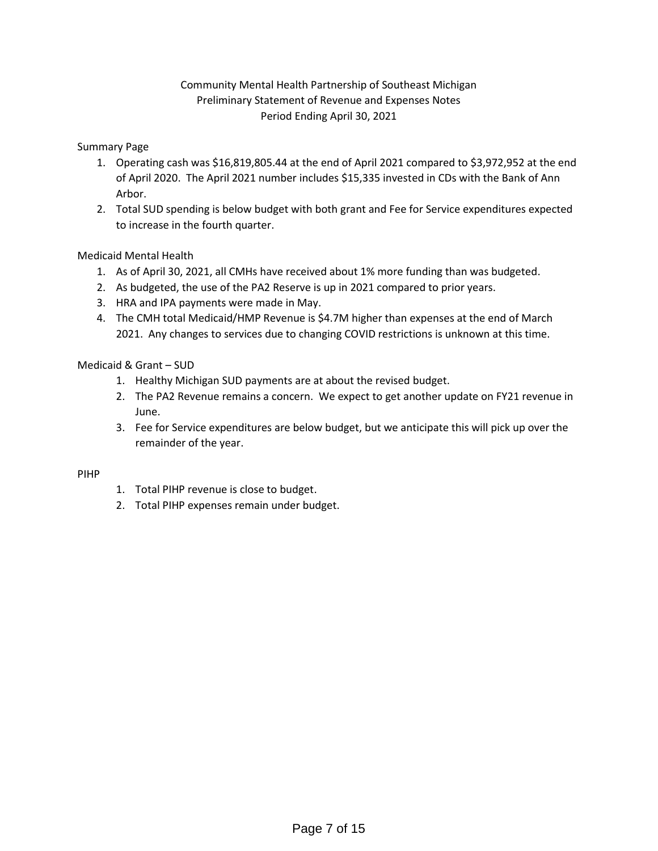# Community Mental Health Partnership of Southeast Michigan Preliminary Statement of Revenue and Expenses Notes Period Ending April 30, 2021

#### Summary Page

- 1. Operating cash was \$16,819,805.44 at the end of April 2021 compared to \$3,972,952 at the end of April 2020. The April 2021 number includes \$15,335 invested in CDs with the Bank of Ann Arbor.
- 2. Total SUD spending is below budget with both grant and Fee for Service expenditures expected to increase in the fourth quarter.

#### Medicaid Mental Health

- 1. As of April 30, 2021, all CMHs have received about 1% more funding than was budgeted.
- 2. As budgeted, the use of the PA2 Reserve is up in 2021 compared to prior years.
- 3. HRA and IPA payments were made in May.
- 4. The CMH total Medicaid/HMP Revenue is \$4.7M higher than expenses at the end of March 2021. Any changes to services due to changing COVID restrictions is unknown at this time.

#### Medicaid & Grant – SUD

- 1. Healthy Michigan SUD payments are at about the revised budget.
- 2. The PA2 Revenue remains a concern. We expect to get another update on FY21 revenue in June.
- 3. Fee for Service expenditures are below budget, but we anticipate this will pick up over the remainder of the year.

#### PIHP

- 1. Total PIHP revenue is close to budget.
- 2. Total PIHP expenses remain under budget.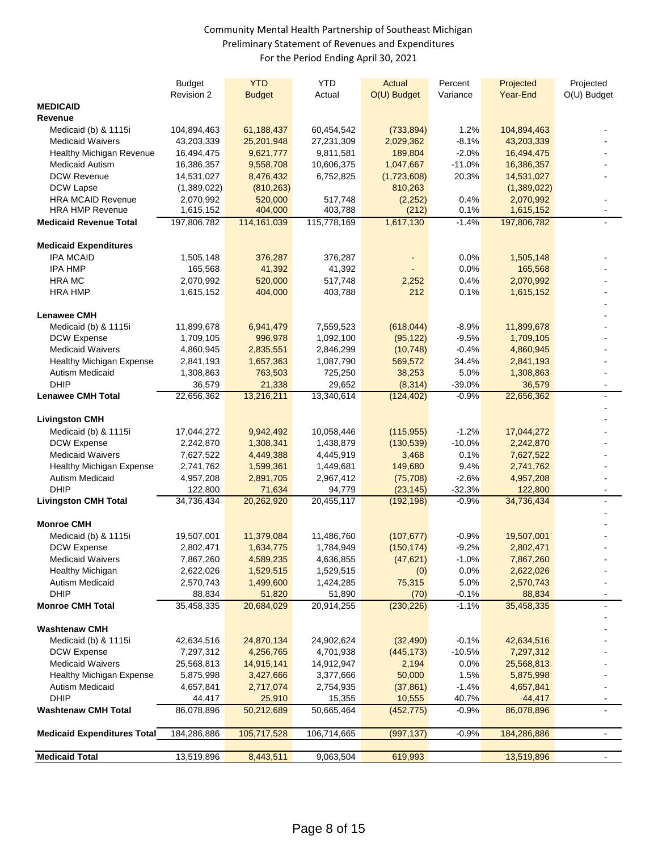#### Community Mental Health Partnership of Southeast Michigan Preliminary Statement of Revenues and Expenditures For the Period Ending April 30, 2021

|                                                    | <b>Budget</b>          | <b>YTD</b>               | <b>YTD</b>             | Actual                       | Percent             | Projected                | Projected      |
|----------------------------------------------------|------------------------|--------------------------|------------------------|------------------------------|---------------------|--------------------------|----------------|
|                                                    | Revision 2             | <b>Budget</b>            | Actual                 | O(U) Budget                  | Variance            | Year-End                 | O(U) Budget    |
| <b>MEDICAID</b>                                    |                        |                          |                        |                              |                     |                          |                |
| Revenue                                            |                        |                          |                        |                              |                     |                          |                |
| Medicaid (b) & 1115i                               | 104,894,463            | 61,188,437               | 60,454,542             | (733, 894)                   | 1.2%                | 104,894,463              |                |
| <b>Medicaid Waivers</b>                            | 43,203,339             | 25,201,948               | 27,231,309             | 2,029,362                    | $-8.1%$             | 43,203,339               |                |
| Healthy Michigan Revenue                           | 16,494,475             | 9,621,777                | 9,811,581              | 189,804                      | $-2.0%$             | 16,494,475               |                |
| <b>Medicaid Autism</b>                             | 16,386,357             | 9,558,708                | 10,606,375             | 1,047,667                    | $-11.0%$            | 16,386,357               |                |
| <b>DCW Revenue</b>                                 | 14,531,027             | 8,476,432                | 6,752,825              | (1,723,608)                  | 20.3%               | 14,531,027               |                |
| DCW Lapse                                          | (1,389,022)            | (810, 263)               |                        | 810,263                      |                     | (1,389,022)              |                |
| <b>HRA MCAID Revenue</b><br><b>HRA HMP Revenue</b> | 2,070,992<br>1,615,152 | 520,000                  | 517,748                | (2,252)                      | 0.4%<br>0.1%        | 2,070,992                |                |
| <b>Medicaid Revenue Total</b>                      | 197,806,782            | 404,000<br>114, 161, 039 | 403,788<br>115,778,169 | (212)<br>1,617,130           | $-1.4%$             | 1,615,152<br>197,806,782 |                |
|                                                    |                        |                          |                        |                              |                     |                          |                |
| <b>Medicaid Expenditures</b>                       |                        |                          |                        |                              |                     |                          |                |
| <b>IPA MCAID</b>                                   | 1,505,148              | 376,287                  | 376,287                | $\qquad \qquad \blacksquare$ | 0.0%                | 1,505,148                |                |
| <b>IPA HMP</b>                                     | 165,568                | 41,392                   | 41,392                 |                              | 0.0%                | 165,568                  |                |
| <b>HRA MC</b>                                      | 2,070,992              | 520,000                  | 517,748                | 2,252                        | 0.4%                | 2,070,992                |                |
| <b>HRA HMP</b>                                     | 1,615,152              | 404,000                  | 403,788                | 212                          | 0.1%                | 1,615,152                |                |
|                                                    |                        |                          |                        |                              |                     |                          |                |
| <b>Lenawee CMH</b><br>Medicaid (b) & 1115i         | 11,899,678             | 6,941,479                | 7,559,523              | (618, 044)                   | $-8.9%$             | 11,899,678               |                |
| DCW Expense                                        | 1,709,105              | 996,978                  | 1,092,100              | (95, 122)                    | $-9.5%$             | 1,709,105                |                |
| <b>Medicaid Waivers</b>                            | 4,860,945              | 2,835,551                | 2,846,299              | (10, 748)                    | $-0.4%$             | 4,860,945                |                |
| <b>Healthy Michigan Expense</b>                    | 2,841,193              | 1,657,363                | 1,087,790              | 569,572                      | 34.4%               | 2,841,193                |                |
| <b>Autism Medicaid</b>                             | 1,308,863              | 763,503                  | 725,250                | 38,253                       | 5.0%                | 1,308,863                |                |
| <b>DHIP</b>                                        | 36,579                 | 21,338                   | 29,652                 | (8,314)                      | $-39.0%$            | 36,579                   |                |
| <b>Lenawee CMH Total</b>                           | 22,656,362             | 13,216,211               | 13,340,614             | (124, 402)                   | $-0.9%$             | 22,656,362               |                |
|                                                    |                        |                          |                        |                              |                     |                          |                |
| <b>Livingston CMH</b>                              |                        |                          |                        |                              |                     |                          |                |
| Medicaid (b) & 1115i                               | 17,044,272             | 9,942,492                | 10,058,446             | (115, 955)                   | $-1.2%$             | 17,044,272               |                |
| DCW Expense                                        | 2,242,870              | 1,308,341                | 1,438,879              | (130, 539)                   | $-10.0%$            | 2,242,870                |                |
| <b>Medicaid Waivers</b>                            | 7,627,522              | 4,449,388                | 4,445,919              | 3,468                        | 0.1%                | 7,627,522                |                |
| <b>Healthy Michigan Expense</b>                    | 2,741,762              | 1,599,361                | 1,449,681              | 149,680                      | 9.4%                | 2,741,762                |                |
| Autism Medicaid                                    | 4,957,208              | 2,891,705                | 2,967,412              | (75, 708)                    | $-2.6%$             | 4,957,208                |                |
| <b>DHIP</b>                                        | 122,800                | 71,634                   | 94,779                 | (23, 145)                    | $-32.3%$            | 122,800                  | $\sim$         |
| <b>Livingston CMH Total</b>                        | 34,736,434             | 20,262,920               | 20,455,117             | (192, 198)                   | $-0.9%$             | 34,736,434               |                |
| <b>Monroe CMH</b>                                  |                        |                          |                        |                              |                     |                          |                |
| Medicaid (b) & 1115i                               | 19,507,001             | 11,379,084               | 11,486,760             | (107, 677)                   | $-0.9%$             | 19,507,001               |                |
| <b>DCW Expense</b>                                 | 2,802,471              | 1,634,775                | 1,784,949              | (150, 174)                   | $-9.2%$             | 2,802,471                |                |
| <b>Medicaid Waivers</b>                            | 7,867,260              | 4,589,235                | 4,636,855              | (47, 621)                    | $-1.0\%$            | 7,867,260                |                |
| Healthy Michigan                                   | 2,622,026              | 1,529,515                | 1,529,515              | (0)                          | 0.0%                | 2,622,026                |                |
| <b>Autism Medicaid</b>                             | 2,570,743              | 1,499,600                | 1,424,285              | 75,315                       | 5.0%                | 2,570,743                |                |
| <b>DHIP</b>                                        | 88,834                 | 51,820                   | 51,890                 | (70)                         | $-0.1%$             | 88,834                   |                |
| <b>Monroe CMH Total</b>                            | 35,458,335             | 20,684,029               | 20,914,255             | (230, 226)                   | $-1.1%$             | 35,458,335               |                |
|                                                    |                        |                          |                        |                              |                     |                          |                |
| <b>Washtenaw CMH</b>                               | 42,634,516             |                          |                        |                              |                     |                          |                |
| Medicaid (b) & 1115i<br><b>DCW Expense</b>         | 7,297,312              | 24,870,134               | 24,902,624             | (32, 490)                    | $-0.1%$<br>$-10.5%$ | 42,634,516               |                |
| <b>Medicaid Waivers</b>                            |                        | 4,256,765<br>14,915,141  | 4,701,938              | (445, 173)<br>2,194          | 0.0%                | 7,297,312                |                |
|                                                    | 25,568,813             |                          | 14,912,947             |                              |                     | 25,568,813               |                |
| Healthy Michigan Expense<br><b>Autism Medicaid</b> | 5,875,998              | 3,427,666                | 3,377,666              | 50,000                       | 1.5%                | 5,875,998                |                |
| <b>DHIP</b>                                        | 4,657,841<br>44,417    | 2,717,074<br>25,910      | 2,754,935<br>15,355    | (37, 861)<br>10,555          | $-1.4%$<br>40.7%    | 4,657,841<br>44,417      |                |
| <b>Washtenaw CMH Total</b>                         | 86,078,896             | 50,212,689               | 50,665,464             | (452, 775)                   | $-0.9%$             | 86,078,896               |                |
|                                                    |                        |                          |                        |                              |                     |                          |                |
| <b>Medicaid Expenditures Total</b>                 | 184,286,886            | 105,717,528              | 106,714,665            | (997, 137)                   | $-0.9%$             | 184,286,886              | $\blacksquare$ |
| <b>Medicaid Total</b>                              | 13,519,896             | 8,443,511                | 9,063,504              | 619,993                      |                     | 13,519,896               |                |
|                                                    |                        |                          |                        |                              |                     |                          |                |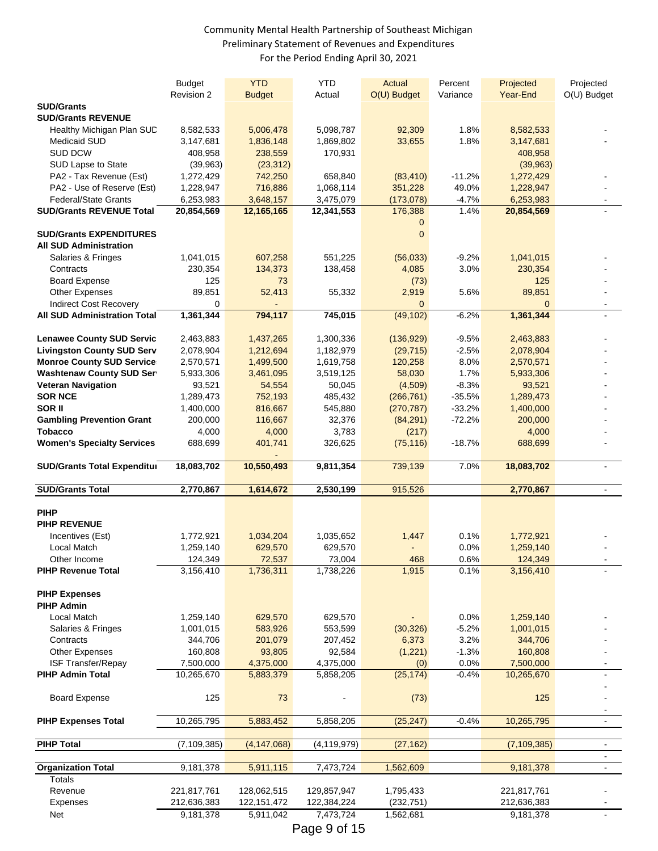#### Community Mental Health Partnership of Southeast Michigan Preliminary Statement of Revenues and Expenditures For the Period Ending April 30, 2021

|                                                              | <b>Budget</b>            | <b>YTD</b>                 | <b>YTD</b>               | Actual                  | Percent      | Projected                | Projected             |
|--------------------------------------------------------------|--------------------------|----------------------------|--------------------------|-------------------------|--------------|--------------------------|-----------------------|
| <b>SUD/Grants</b>                                            | Revision 2               | <b>Budget</b>              | Actual                   | O(U) Budget             | Variance     | Year-End                 | O(U) Budget           |
| <b>SUD/Grants REVENUE</b>                                    |                          |                            |                          |                         |              |                          |                       |
| Healthy Michigan Plan SUD                                    | 8,582,533                | 5,006,478                  | 5,098,787                | 92,309                  | 1.8%         | 8,582,533                |                       |
| <b>Medicaid SUD</b>                                          | 3,147,681                | 1,836,148                  | 1,869,802                | 33,655                  | 1.8%         | 3,147,681                |                       |
| <b>SUD DCW</b>                                               | 408,958                  | 238,559                    | 170,931                  |                         |              | 408,958                  |                       |
| SUD Lapse to State                                           | (39, 963)                | (23, 312)                  |                          |                         |              | (39,963)                 |                       |
| PA2 - Tax Revenue (Est)                                      | 1,272,429                | 742,250                    | 658,840                  | (83, 410)               | $-11.2%$     | 1,272,429                |                       |
| PA2 - Use of Reserve (Est)                                   | 1,228,947                | 716,886                    | 1,068,114                | 351,228                 | 49.0%        | 1,228,947                |                       |
| <b>Federal/State Grants</b>                                  | 6,253,983                | 3,648,157                  | 3,475,079                | (173,078)               | $-4.7%$      | 6,253,983                | $\blacksquare$        |
| <b>SUD/Grants REVENUE Total</b>                              | 20,854,569               | 12,165,165                 | 12,341,553               | 176,388                 | 1.4%         | 20,854,569               |                       |
| <b>SUD/Grants EXPENDITURES</b>                               |                          |                            |                          | 0<br>$\mathbf 0$        |              |                          |                       |
| <b>All SUD Administration</b>                                |                          |                            |                          |                         |              |                          |                       |
| Salaries & Fringes                                           | 1,041,015                | 607,258                    | 551,225                  | (56,033)                | $-9.2%$      | 1,041,015                |                       |
| Contracts                                                    | 230,354                  | 134,373                    | 138,458                  | 4,085                   | 3.0%         | 230,354                  |                       |
| <b>Board Expense</b>                                         | 125                      | 73                         |                          | (73)                    |              | 125                      |                       |
| <b>Other Expenses</b>                                        | 89,851                   | 52,413                     | 55,332                   | 2,919                   | 5.6%         | 89,851                   |                       |
| Indirect Cost Recovery                                       | 0                        |                            |                          | $\mathbf{0}$            |              | $\overline{0}$           |                       |
| <b>All SUD Administration Total</b>                          | 1,361,344                | 794,117                    | 745,015                  | (49, 102)               | $-6.2%$      | 1,361,344                |                       |
|                                                              |                          |                            |                          |                         |              |                          |                       |
| <b>Lenawee County SUD Servic</b>                             | 2,463,883                | 1,437,265                  | 1,300,336                | (136, 929)              | $-9.5%$      | 2,463,883                |                       |
| <b>Livingston County SUD Serv</b>                            | 2,078,904                | 1,212,694                  | 1,182,979                | (29, 715)               | $-2.5%$      | 2,078,904                |                       |
| <b>Monroe County SUD Service</b>                             | 2,570,571                | 1,499,500                  | 1,619,758                | 120,258                 | 8.0%<br>1.7% | 2,570,571                |                       |
| <b>Washtenaw County SUD Ser</b><br><b>Veteran Navigation</b> | 5,933,306                | 3,461,095                  | 3,519,125                | 58,030                  | $-8.3%$      | 5,933,306                |                       |
| <b>SOR NCE</b>                                               | 93,521<br>1,289,473      | 54,554<br>752,193          | 50,045<br>485,432        | (4,509)<br>(266, 761)   | $-35.5%$     | 93,521<br>1,289,473      |                       |
| SOR II                                                       | 1,400,000                | 816,667                    | 545,880                  | (270, 787)              | $-33.2%$     | 1,400,000                |                       |
| <b>Gambling Prevention Grant</b>                             | 200,000                  | 116,667                    | 32,376                   | (84, 291)               | $-72.2%$     | 200,000                  |                       |
| Tobacco                                                      | 4,000                    | 4,000                      | 3,783                    | (217)                   |              | 4,000                    |                       |
| <b>Women's Specialty Services</b>                            | 688,699                  | 401,741                    | 326,625                  | (75, 116)               | $-18.7%$     | 688,699                  |                       |
|                                                              |                          |                            |                          |                         |              |                          |                       |
|                                                              |                          |                            |                          |                         |              |                          |                       |
| <b>SUD/Grants Total Expenditul</b>                           | 18,083,702               | 10,550,493                 | 9,811,354                | 739,139                 | 7.0%         | 18,083,702               |                       |
| <b>SUD/Grants Total</b>                                      | 2,770,867                | 1,614,672                  | 2,530,199                | 915,526                 |              | 2,770,867                | $\blacksquare$        |
|                                                              |                          |                            |                          |                         |              |                          |                       |
| <b>PIHP</b>                                                  |                          |                            |                          |                         |              |                          |                       |
| <b>PIHP REVENUE</b>                                          |                          |                            |                          |                         |              |                          |                       |
| Incentives (Est)                                             | 1,772,921                | 1,034,204                  | 1,035,652                | 1,447                   | 0.1%         | 1,772,921                |                       |
| Local Match                                                  | 1,259,140                | 629,570                    | 629,570                  |                         | 0.0%         | 1,259,140                |                       |
| Other Income                                                 | 124,349                  | 72,537                     | 73,004                   | 468                     | 0.6%         | 124,349                  |                       |
| <b>PIHP Revenue Total</b>                                    | 3,156,410                | 1,736,311                  | 1,738,226                | 1,915                   | 0.1%         | 3,156,410                |                       |
|                                                              |                          |                            |                          |                         |              |                          |                       |
| <b>PIHP Expenses</b><br><b>PIHP Admin</b>                    |                          |                            |                          |                         |              |                          |                       |
| Local Match                                                  | 1,259,140                | 629,570                    | 629,570                  |                         | 0.0%         | 1,259,140                |                       |
| Salaries & Fringes                                           | 1,001,015                | 583,926                    | 553,599                  | (30, 326)               | $-5.2%$      | 1,001,015                |                       |
| Contracts                                                    | 344,706                  | 201,079                    | 207,452                  | 6,373                   | 3.2%         | 344,706                  |                       |
| <b>Other Expenses</b>                                        | 160,808                  | 93,805                     | 92,584                   | (1,221)                 | $-1.3%$      | 160,808                  |                       |
| ISF Transfer/Repay                                           | 7,500,000                | 4,375,000                  | 4,375,000                | (0)                     | 0.0%         | 7,500,000                |                       |
| <b>PIHP Admin Total</b>                                      | 10,265,670               | 5,883,379                  | 5,858,205                | (25, 174)               | $-0.4%$      | 10,265,670               |                       |
|                                                              |                          |                            |                          |                         |              |                          |                       |
| <b>Board Expense</b>                                         | 125                      | 73                         |                          | (73)                    |              | 125                      |                       |
| <b>PIHP Expenses Total</b>                                   | 10,265,795               | 5,883,452                  | 5,858,205                | (25, 247)               | $-0.4%$      | 10,265,795               | $\sim$                |
|                                                              |                          |                            |                          |                         |              |                          |                       |
| <b>PIHP Total</b>                                            | (7, 109, 385)            | (4, 147, 068)              | (4, 119, 979)            | (27, 162)               |              | (7, 109, 385)            | $\blacksquare$        |
|                                                              |                          |                            |                          |                         |              |                          |                       |
| <b>Organization Total</b>                                    | 9,181,378                | 5,911,115                  | 7,473,724                | 1,562,609               |              | 9,181,378                | $\mathbf{u}^{\prime}$ |
| Totals                                                       |                          |                            |                          |                         |              |                          |                       |
| Revenue                                                      | 221,817,761              | 128,062,515                | 129,857,947              | 1,795,433               |              | 221,817,761              |                       |
| Expenses<br>Net                                              | 212,636,383<br>9,181,378 | 122, 151, 472<br>5,911,042 | 122,384,224<br>7,473,724 | (232, 751)<br>1,562,681 |              | 212,636,383<br>9,181,378 |                       |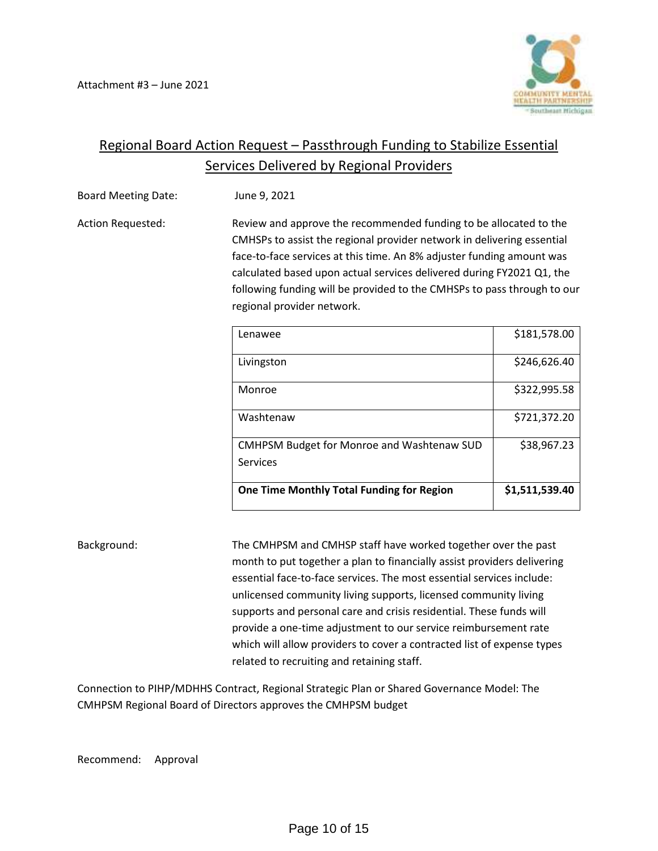

# Regional Board Action Request – Passthrough Funding to Stabilize Essential Services Delivered by Regional Providers

Board Meeting Date: June 9, 2021

Action Requested: Review and approve the recommended funding to be allocated to the CMHSPs to assist the regional provider network in delivering essential face-to-face services at this time. An 8% adjuster funding amount was calculated based upon actual services delivered during FY2021 Q1, the following funding will be provided to the CMHSPs to pass through to our regional provider network.

| Lenawee                                                       | \$181,578.00   |
|---------------------------------------------------------------|----------------|
| Livingston                                                    | \$246,626.40   |
| Monroe                                                        | \$322,995.58   |
| Washtenaw                                                     | \$721,372.20   |
| <b>CMHPSM Budget for Monroe and Washtenaw SUD</b><br>Services | \$38,967.23    |
| One Time Monthly Total Funding for Region                     | \$1,511,539.40 |

Background: The CMHPSM and CMHSP staff have worked together over the past month to put together a plan to financially assist providers delivering essential face-to-face services. The most essential services include: unlicensed community living supports, licensed community living supports and personal care and crisis residential. These funds will provide a one-time adjustment to our service reimbursement rate which will allow providers to cover a contracted list of expense types related to recruiting and retaining staff.

Connection to PIHP/MDHHS Contract, Regional Strategic Plan or Shared Governance Model: The CMHPSM Regional Board of Directors approves the CMHPSM budget

Recommend: Approval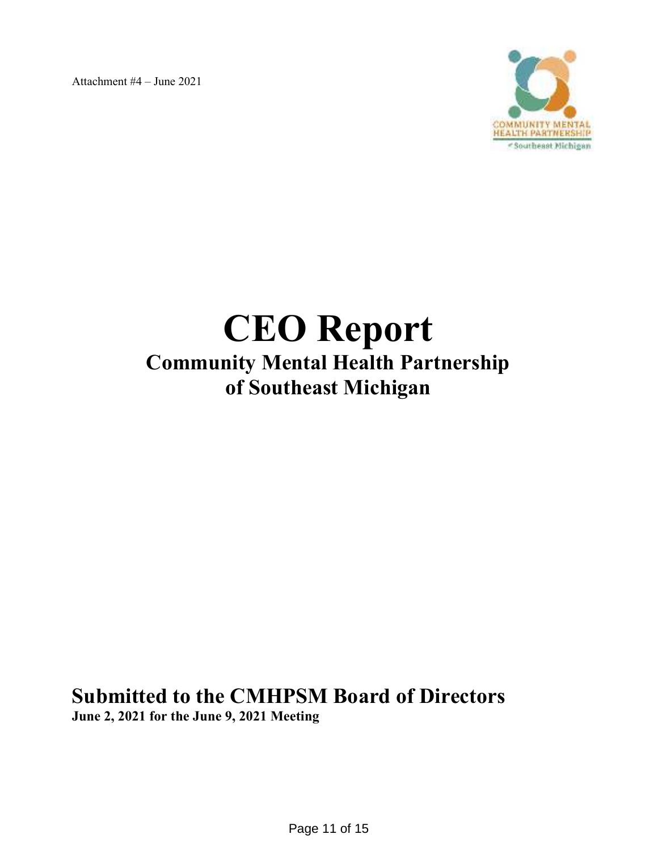Attachment #4 – June 2021



# **CEO Report Community Mental Health Partnership of Southeast Michigan**

**Submitted to the CMHPSM Board of Directors June 2, 2021 for the June 9, 2021 Meeting**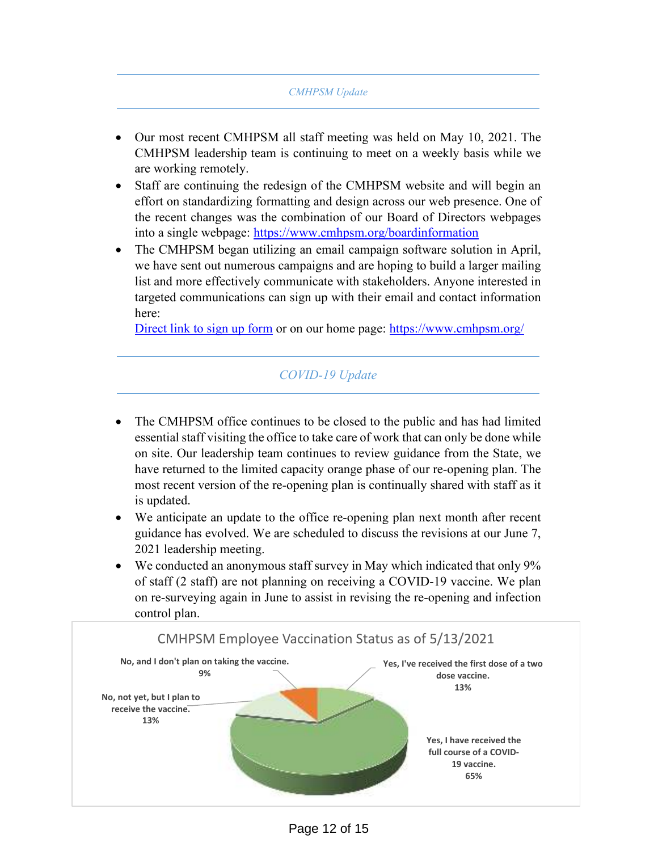#### *CMHPSM Update*

- Our most recent CMHPSM all staff meeting was held on May 10, 2021. The CMHPSM leadership team is continuing to meet on a weekly basis while we are working remotely.
- Staff are continuing the redesign of the CMHPSM website and will begin an effort on standardizing formatting and design across our web presence. One of the recent changes was the combination of our Board of Directors webpages into a single webpage: https://www.cmhpsm.org/boardinformation
- The CMHPSM began utilizing an email campaign software solution in April, we have sent out numerous campaigns and are hoping to build a larger mailing list and more effectively communicate with stakeholders. Anyone interested in targeted communications can sign up with their email and contact information here:

Direct link to sign up form or on our home page: https://www.cmhpsm.org/

# *COVID-19 Update*

- The CMHPSM office continues to be closed to the public and has had limited essential staff visiting the office to take care of work that can only be done while on site. Our leadership team continues to review guidance from the State, we have returned to the limited capacity orange phase of our re-opening plan. The most recent version of the re-opening plan is continually shared with staff as it is updated.
- We anticipate an update to the office re-opening plan next month after recent guidance has evolved. We are scheduled to discuss the revisions at our June 7, 2021 leadership meeting.
- We conducted an anonymous staff survey in May which indicated that only 9% of staff (2 staff) are not planning on receiving a COVID-19 vaccine. We plan on re-surveying again in June to assist in revising the re-opening and infection control plan.

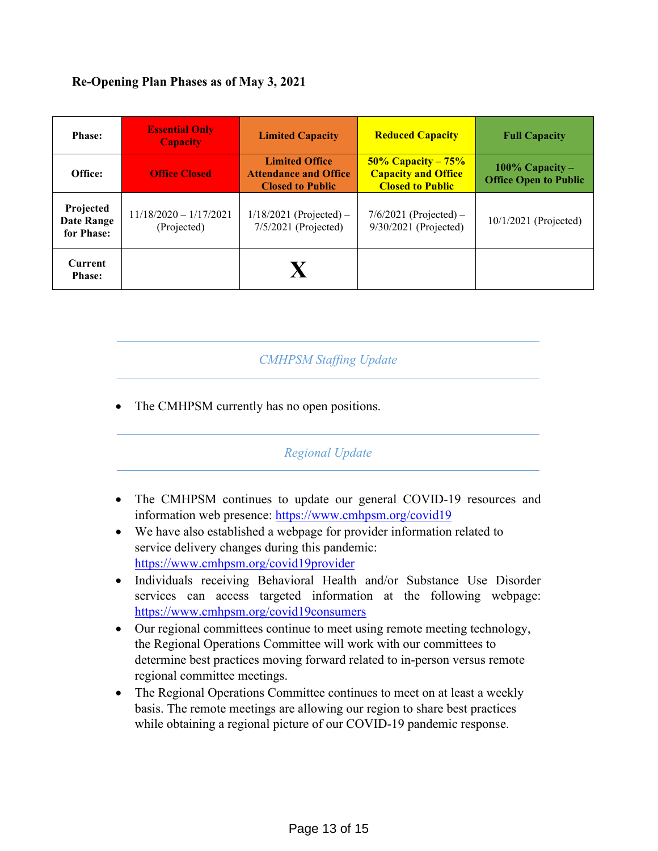# **Re-Opening Plan Phases as of May 3, 2021**

| <b>Phase:</b>                                | <b>Essential Only</b><br><b>Capacity</b> | <b>Limited Capacity</b>                                                          | <b>Reduced Capacity</b>                                                        | <b>Full Capacity</b>                              |
|----------------------------------------------|------------------------------------------|----------------------------------------------------------------------------------|--------------------------------------------------------------------------------|---------------------------------------------------|
| Office:                                      | <b>Office Closed</b>                     | <b>Limited Office</b><br><b>Attendance and Office</b><br><b>Closed to Public</b> | $50\%$ Capacity – 75%<br><b>Capacity and Office</b><br><b>Closed to Public</b> | 100% Capacity $-$<br><b>Office Open to Public</b> |
| Projected<br><b>Date Range</b><br>for Phase: | $11/18/2020 - 1/17/2021$<br>(Projected)  | $1/18/2021$ (Projected) –<br>$7/5/2021$ (Projected)                              | $7/6/2021$ (Projected) –<br>$9/30/2021$ (Projected)                            | $10/1/2021$ (Projected)                           |
| <b>Current</b><br><b>Phase:</b>              |                                          | X                                                                                |                                                                                |                                                   |

# *CMHPSM Staffing Update*

The CMHPSM currently has no open positions.

# *Regional Update*

- The CMHPSM continues to update our general COVID-19 resources and information web presence: https://www.cmhpsm.org/covid19
- We have also established a webpage for provider information related to service delivery changes during this pandemic: https://www.cmhpsm.org/covid19provider
- Individuals receiving Behavioral Health and/or Substance Use Disorder services can access targeted information at the following webpage: https://www.cmhpsm.org/covid19consumers
- Our regional committees continue to meet using remote meeting technology, the Regional Operations Committee will work with our committees to determine best practices moving forward related to in-person versus remote regional committee meetings.
- The Regional Operations Committee continues to meet on at least a weekly basis. The remote meetings are allowing our region to share best practices while obtaining a regional picture of our COVID-19 pandemic response.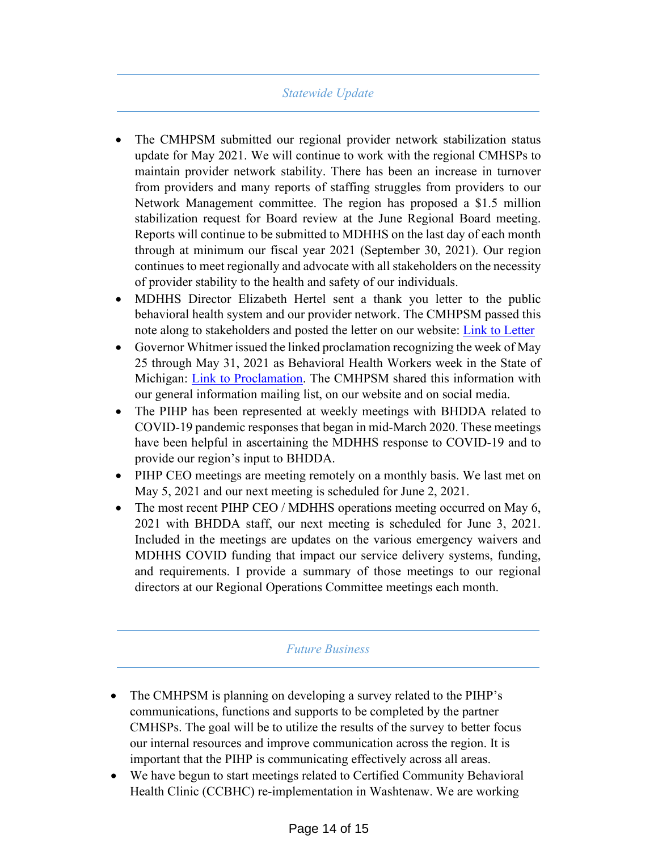# *Statewide Update*

- The CMHPSM submitted our regional provider network stabilization status update for May 2021. We will continue to work with the regional CMHSPs to maintain provider network stability. There has been an increase in turnover from providers and many reports of staffing struggles from providers to our Network Management committee. The region has proposed a \$1.5 million stabilization request for Board review at the June Regional Board meeting. Reports will continue to be submitted to MDHHS on the last day of each month through at minimum our fiscal year 2021 (September 30, 2021). Our region continues to meet regionally and advocate with all stakeholders on the necessity of provider stability to the health and safety of our individuals.
- MDHHS Director Elizabeth Hertel sent a thank you letter to the public behavioral health system and our provider network. The CMHPSM passed this note along to stakeholders and posted the letter on our website: Link to Letter
- Governor Whitmer issued the linked proclamation recognizing the week of May 25 through May 31, 2021 as Behavioral Health Workers week in the State of Michigan: Link to Proclamation. The CMHPSM shared this information with our general information mailing list, on our website and on social media.
- The PIHP has been represented at weekly meetings with BHDDA related to COVID-19 pandemic responses that began in mid-March 2020. These meetings have been helpful in ascertaining the MDHHS response to COVID-19 and to provide our region's input to BHDDA.
- PIHP CEO meetings are meeting remotely on a monthly basis. We last met on May 5, 2021 and our next meeting is scheduled for June 2, 2021.
- The most recent PIHP CEO / MDHHS operations meeting occurred on May 6, 2021 with BHDDA staff, our next meeting is scheduled for June 3, 2021. Included in the meetings are updates on the various emergency waivers and MDHHS COVID funding that impact our service delivery systems, funding, and requirements. I provide a summary of those meetings to our regional directors at our Regional Operations Committee meetings each month.

#### *Future Business*

- The CMHPSM is planning on developing a survey related to the PIHP's communications, functions and supports to be completed by the partner CMHSPs. The goal will be to utilize the results of the survey to better focus our internal resources and improve communication across the region. It is important that the PIHP is communicating effectively across all areas.
- We have begun to start meetings related to Certified Community Behavioral Health Clinic (CCBHC) re-implementation in Washtenaw. We are working